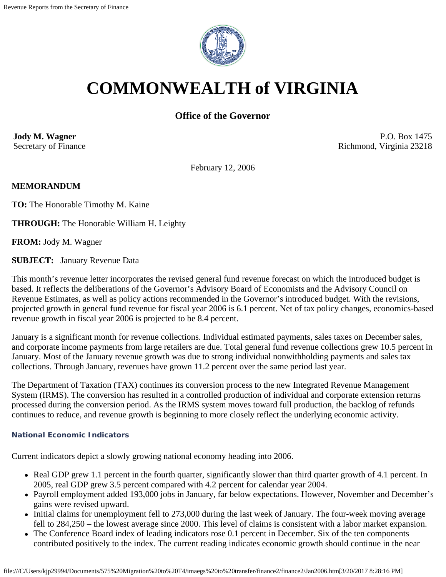

# **COMMONWEALTH of VIRGINIA**

## **Office of the Governor**

**Jody M. Wagner**  Secretary of Finance

P.O. Box 1475 Richmond, Virginia 23218

February 12, 2006

## **MEMORANDUM**

**TO:** The Honorable Timothy M. Kaine

**THROUGH:** The Honorable William H. Leighty

**FROM:** Jody M. Wagner

**SUBJECT:** January Revenue Data

This month's revenue letter incorporates the revised general fund revenue forecast on which the introduced budget is based. It reflects the deliberations of the Governor's Advisory Board of Economists and the Advisory Council on Revenue Estimates, as well as policy actions recommended in the Governor's introduced budget. With the revisions, projected growth in general fund revenue for fiscal year 2006 is 6.1 percent. Net of tax policy changes, economics-based revenue growth in fiscal year 2006 is projected to be 8.4 percent.

January is a significant month for revenue collections. Individual estimated payments, sales taxes on December sales, and corporate income payments from large retailers are due. Total general fund revenue collections grew 10.5 percent in January. Most of the January revenue growth was due to strong individual nonwithholding payments and sales tax collections. Through January, revenues have grown 11.2 percent over the same period last year.

The Department of Taxation (TAX) continues its conversion process to the new Integrated Revenue Management System (IRMS). The conversion has resulted in a controlled production of individual and corporate extension returns processed during the conversion period. As the IRMS system moves toward full production, the backlog of refunds continues to reduce, and revenue growth is beginning to more closely reflect the underlying economic activity.

#### **National Economic Indicators**

Current indicators depict a slowly growing national economy heading into 2006.

- Real GDP grew 1.1 percent in the fourth quarter, significantly slower than third quarter growth of 4.1 percent. In 2005, real GDP grew 3.5 percent compared with 4.2 percent for calendar year 2004.
- Payroll employment added 193,000 jobs in January, far below expectations. However, November and December's gains were revised upward.
- Initial claims for unemployment fell to 273,000 during the last week of January. The four-week moving average fell to 284,250 – the lowest average since 2000. This level of claims is consistent with a labor market expansion.
- The Conference Board index of leading indicators rose 0.1 percent in December. Six of the ten components contributed positively to the index. The current reading indicates economic growth should continue in the near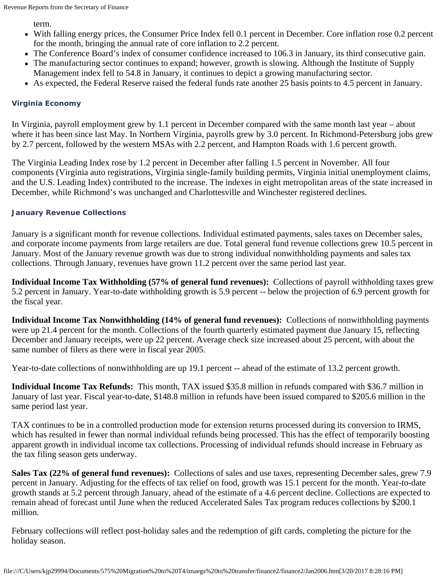term.

- With falling energy prices, the Consumer Price Index fell 0.1 percent in December. Core inflation rose 0.2 percent for the month, bringing the annual rate of core inflation to 2.2 percent.
- The Conference Board's index of consumer confidence increased to 106.3 in January, its third consecutive gain.
- The manufacturing sector continues to expand; however, growth is slowing. Although the Institute of Supply Management index fell to 54.8 in January, it continues to depict a growing manufacturing sector.
- As expected, the Federal Reserve raised the federal funds rate another 25 basis points to 4.5 percent in January.

## **Virginia Economy**

In Virginia, payroll employment grew by 1.1 percent in December compared with the same month last year – about where it has been since last May. In Northern Virginia, payrolls grew by 3.0 percent. In Richmond-Petersburg jobs grew by 2.7 percent, followed by the western MSAs with 2.2 percent, and Hampton Roads with 1.6 percent growth.

The Virginia Leading Index rose by 1.2 percent in December after falling 1.5 percent in November. All four components (Virginia auto registrations, Virginia single-family building permits, Virginia initial unemployment claims, and the U.S. Leading Index) contributed to the increase. The indexes in eight metropolitan areas of the state increased in December, while Richmond's was unchanged and Charlottesville and Winchester registered declines.

## **January Revenue Collections**

January is a significant month for revenue collections. Individual estimated payments, sales taxes on December sales, and corporate income payments from large retailers are due. Total general fund revenue collections grew 10.5 percent in January. Most of the January revenue growth was due to strong individual nonwithholding payments and sales tax collections. Through January, revenues have grown 11.2 percent over the same period last year.

**Individual Income Tax Withholding (57% of general fund revenues):** Collections of payroll withholding taxes grew 5.2 percent in January. Year-to-date withholding growth is 5.9 percent -- below the projection of 6.9 percent growth for the fiscal year.

**Individual Income Tax Nonwithholding (14% of general fund revenues):** Collections of nonwithholding payments were up 21.4 percent for the month. Collections of the fourth quarterly estimated payment due January 15, reflecting December and January receipts, were up 22 percent. Average check size increased about 25 percent, with about the same number of filers as there were in fiscal year 2005.

Year-to-date collections of nonwithholding are up 19.1 percent -- ahead of the estimate of 13.2 percent growth.

**Individual Income Tax Refunds:** This month, TAX issued \$35.8 million in refunds compared with \$36.7 million in January of last year. Fiscal year-to-date, \$148.8 million in refunds have been issued compared to \$205.6 million in the same period last year.

TAX continues to be in a controlled production mode for extension returns processed during its conversion to IRMS, which has resulted in fewer than normal individual refunds being processed. This has the effect of temporarily boosting apparent growth in individual income tax collections. Processing of individual refunds should increase in February as the tax filing season gets underway.

**Sales Tax (22% of general fund revenues):** Collections of sales and use taxes, representing December sales, grew 7.9 percent in January. Adjusting for the effects of tax relief on food, growth was 15.1 percent for the month. Year-to-date growth stands at 5.2 percent through January, ahead of the estimate of a 4.6 percent decline. Collections are expected to remain ahead of forecast until June when the reduced Accelerated Sales Tax program reduces collections by \$200.1 million.

February collections will reflect post-holiday sales and the redemption of gift cards, completing the picture for the holiday season.